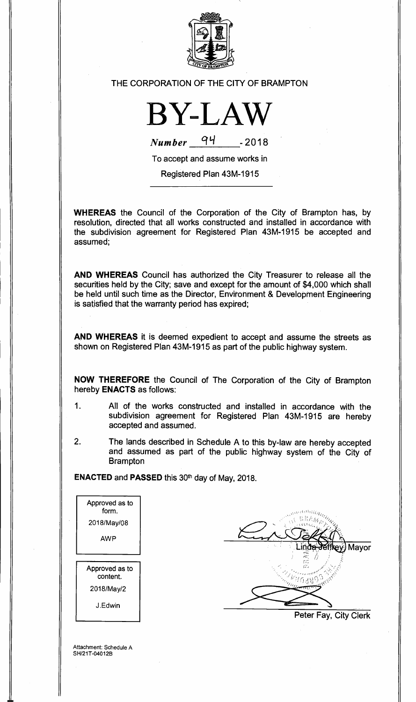

## THE CORPORATION OF THE CITY OF BRAMPTON



 $Number$ <sup>4</sup> -2018

To accept and assume works in

Registered Plan 43M-1915

**WHEREAS** the Council of the Corporation of the City of Brampton has, by resolution, directed that all works constructed and installed in accordance with the subdivision agreement for Registered Plan 43M-1915 be accepted and assumed;

**AND WHEREAS** Council has authorized the City Treasurer to release all the securities held by the City; save and except for the amount of \$4,000 which shall be held until such time as the Director, Environment & Development Engineering is satisfied that the warranty period has expired;

**AND WHEREAS** it is deemed expedient to accept and assume the streets as shown on Registered Plan 43M-1915 as part of the public highway system.

**NOW THEREFORE** the Council of The Corporation of the City of Brampton hereby **ENACTS** as follows:

- 1. All of the works constructed and installed in accordance with the subdivision agreement for Registered Plan 43M-1915 are hereby accepted and assumed.
- 2. The lands described in Schedule A to this by-law are hereby accepted and assumed as part of the public highway system of the City of **Brampton**

**ENACTED** and **PASSED** this 30th day of May, 2018.

| Approved as to<br>form.    |                       |
|----------------------------|-----------------------|
| 2018/May/08                |                       |
| <b>AWP</b>                 |                       |
|                            | Mayor<br>inga Jeffkev |
|                            | СC<br>GЪ              |
| Approved as to<br>content. |                       |
| 2018/May/2                 |                       |
| J.Edwin                    |                       |
|                            | Peter Fay, City Clerk |
|                            |                       |

Attachment: Schedule A SH/21T-04012B